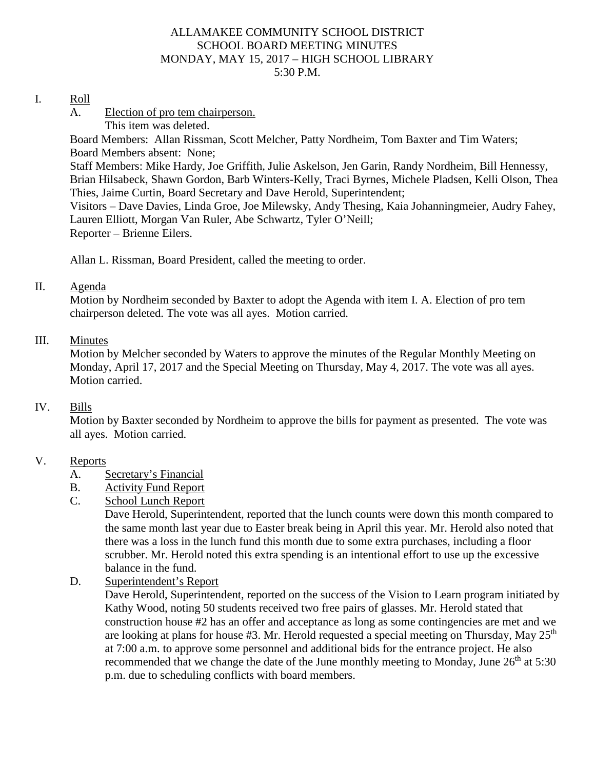#### ALLAMAKEE COMMUNITY SCHOOL DISTRICT SCHOOL BOARD MEETING MINUTES MONDAY, MAY 15, 2017 – HIGH SCHOOL LIBRARY 5:30 P.M.

#### I. Roll

- A. Election of pro tem chairperson.
	- This item was deleted.

Board Members: Allan Rissman, Scott Melcher, Patty Nordheim, Tom Baxter and Tim Waters; Board Members absent: None;

Staff Members: Mike Hardy, Joe Griffith, Julie Askelson, Jen Garin, Randy Nordheim, Bill Hennessy, Brian Hilsabeck, Shawn Gordon, Barb Winters-Kelly, Traci Byrnes, Michele Pladsen, Kelli Olson, Thea Thies, Jaime Curtin, Board Secretary and Dave Herold, Superintendent;

Visitors – Dave Davies, Linda Groe, Joe Milewsky, Andy Thesing, Kaia Johanningmeier, Audry Fahey, Lauren Elliott, Morgan Van Ruler, Abe Schwartz, Tyler O'Neill;

Reporter – Brienne Eilers.

Allan L. Rissman, Board President, called the meeting to order.

## II. Agenda

Motion by Nordheim seconded by Baxter to adopt the Agenda with item I. A. Election of pro tem chairperson deleted. The vote was all ayes. Motion carried.

#### III. Minutes

Motion by Melcher seconded by Waters to approve the minutes of the Regular Monthly Meeting on Monday, April 17, 2017 and the Special Meeting on Thursday, May 4, 2017. The vote was all ayes. Motion carried.

## IV. Bills

Motion by Baxter seconded by Nordheim to approve the bills for payment as presented. The vote was all ayes. Motion carried.

## V. Reports

- A. Secretary's Financial
- B. Activity Fund Report
- C. School Lunch Report

Dave Herold, Superintendent, reported that the lunch counts were down this month compared to the same month last year due to Easter break being in April this year. Mr. Herold also noted that there was a loss in the lunch fund this month due to some extra purchases, including a floor scrubber. Mr. Herold noted this extra spending is an intentional effort to use up the excessive balance in the fund.

D. Superintendent's Report

Dave Herold, Superintendent, reported on the success of the Vision to Learn program initiated by Kathy Wood, noting 50 students received two free pairs of glasses. Mr. Herold stated that construction house #2 has an offer and acceptance as long as some contingencies are met and we are looking at plans for house #3. Mr. Herold requested a special meeting on Thursday, May  $25<sup>th</sup>$ at 7:00 a.m. to approve some personnel and additional bids for the entrance project. He also recommended that we change the date of the June monthly meeting to Monday, June  $26<sup>th</sup>$  at 5:30 p.m. due to scheduling conflicts with board members.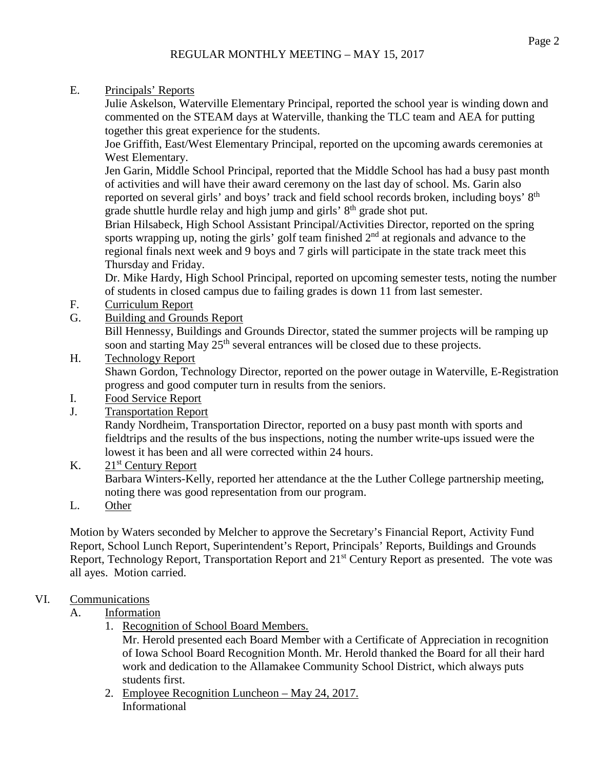E. Principals' Reports

Julie Askelson, Waterville Elementary Principal, reported the school year is winding down and commented on the STEAM days at Waterville, thanking the TLC team and AEA for putting together this great experience for the students.

Joe Griffith, East/West Elementary Principal, reported on the upcoming awards ceremonies at West Elementary.

Jen Garin, Middle School Principal, reported that the Middle School has had a busy past month of activities and will have their award ceremony on the last day of school. Ms. Garin also reported on several girls' and boys' track and field school records broken, including boys' 8th grade shuttle hurdle relay and high jump and girls' 8<sup>th</sup> grade shot put.

Brian Hilsabeck, High School Assistant Principal/Activities Director, reported on the spring sports wrapping up, noting the girls' golf team finished  $2<sup>nd</sup>$  at regionals and advance to the regional finals next week and 9 boys and 7 girls will participate in the state track meet this Thursday and Friday.

Dr. Mike Hardy, High School Principal, reported on upcoming semester tests, noting the number of students in closed campus due to failing grades is down 11 from last semester.

- F. Curriculum Report
- G. Building and Grounds Report

Bill Hennessy, Buildings and Grounds Director, stated the summer projects will be ramping up soon and starting May  $25<sup>th</sup>$  several entrances will be closed due to these projects.

H. Technology Report

Shawn Gordon, Technology Director, reported on the power outage in Waterville, E-Registration progress and good computer turn in results from the seniors.

- I. Food Service Report
- J. Transportation Report

Randy Nordheim, Transportation Director, reported on a busy past month with sports and fieldtrips and the results of the bus inspections, noting the number write-ups issued were the lowest it has been and all were corrected within 24 hours.

K.  $21<sup>st</sup>$  Century Report

Barbara Winters-Kelly, reported her attendance at the the Luther College partnership meeting, noting there was good representation from our program.

L. Other

Motion by Waters seconded by Melcher to approve the Secretary's Financial Report, Activity Fund Report, School Lunch Report, Superintendent's Report, Principals' Reports, Buildings and Grounds Report, Technology Report, Transportation Report and 21<sup>st</sup> Century Report as presented. The vote was all ayes. Motion carried.

## VI. Communications

## A. Information

1. Recognition of School Board Members.

Mr. Herold presented each Board Member with a Certificate of Appreciation in recognition of Iowa School Board Recognition Month. Mr. Herold thanked the Board for all their hard work and dedication to the Allamakee Community School District, which always puts students first.

2. Employee Recognition Luncheon – May 24, 2017. Informational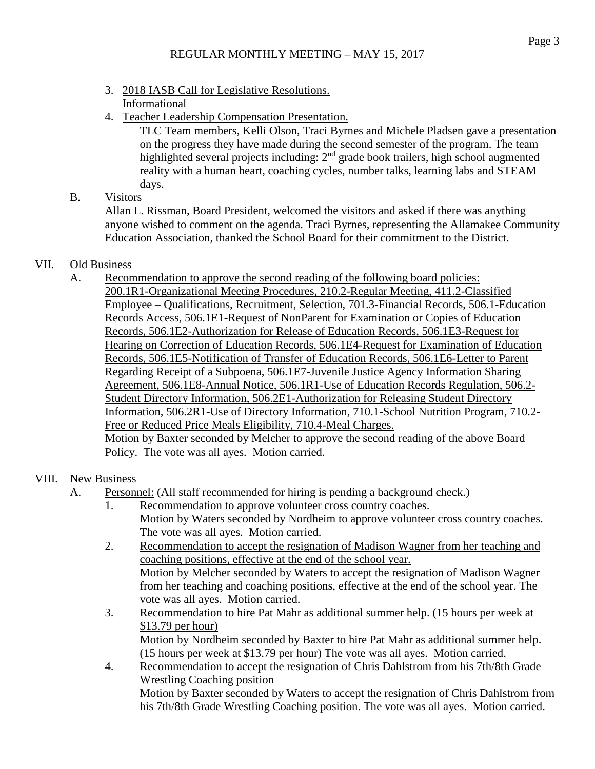- 3. 2018 IASB Call for Legislative Resolutions. Informational
- 4. Teacher Leadership Compensation Presentation.

TLC Team members, Kelli Olson, Traci Byrnes and Michele Pladsen gave a presentation on the progress they have made during the second semester of the program. The team highlighted several projects including: 2<sup>nd</sup> grade book trailers, high school augmented reality with a human heart, coaching cycles, number talks, learning labs and STEAM days.

# B. Visitors

Allan L. Rissman, Board President, welcomed the visitors and asked if there was anything anyone wished to comment on the agenda. Traci Byrnes, representing the Allamakee Community Education Association, thanked the School Board for their commitment to the District.

# VII. Old Business

A. Recommendation to approve the second reading of the following board policies: 200.1R1-Organizational Meeting Procedures, 210.2-Regular Meeting, 411.2-Classified Employee – Qualifications, Recruitment, Selection, 701.3-Financial Records, 506.1-Education Records Access, 506.1E1-Request of NonParent for Examination or Copies of Education Records, 506.1E2-Authorization for Release of Education Records, 506.1E3-Request for Hearing on Correction of Education Records, 506.1E4-Request for Examination of Education Records, 506.1E5-Notification of Transfer of Education Records, 506.1E6-Letter to Parent Regarding Receipt of a Subpoena, 506.1E7-Juvenile Justice Agency Information Sharing Agreement, 506.1E8-Annual Notice, 506.1R1-Use of Education Records Regulation, 506.2- Student Directory Information, 506.2E1-Authorization for Releasing Student Directory Information, 506.2R1-Use of Directory Information, 710.1-School Nutrition Program, 710.2- Free or Reduced Price Meals Eligibility, 710.4-Meal Charges.

Motion by Baxter seconded by Melcher to approve the second reading of the above Board Policy. The vote was all ayes. Motion carried.

# VIII. New Business

- A. Personnel: (All staff recommended for hiring is pending a background check.)
	- 1. Recommendation to approve volunteer cross country coaches. Motion by Waters seconded by Nordheim to approve volunteer cross country coaches. The vote was all ayes. Motion carried.
	- 2. Recommendation to accept the resignation of Madison Wagner from her teaching and coaching positions, effective at the end of the school year. Motion by Melcher seconded by Waters to accept the resignation of Madison Wagner from her teaching and coaching positions, effective at the end of the school year. The vote was all ayes. Motion carried.
	- 3. Recommendation to hire Pat Mahr as additional summer help. (15 hours per week at \$13.79 per hour) Motion by Nordheim seconded by Baxter to hire Pat Mahr as additional summer help. (15 hours per week at \$13.79 per hour) The vote was all ayes. Motion carried.
	- 4. Recommendation to accept the resignation of Chris Dahlstrom from his 7th/8th Grade Wrestling Coaching position Motion by Baxter seconded by Waters to accept the resignation of Chris Dahlstrom from his 7th/8th Grade Wrestling Coaching position. The vote was all ayes. Motion carried.